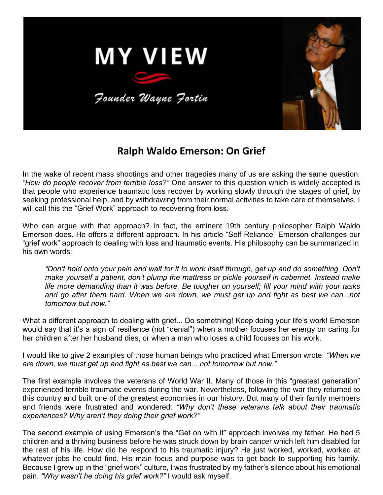

## **Ralph Waldo Emerson: On Grief**

In the wake of recent mass shootings and other tragedies many of us are asking the same question: *"How do people recover from terrible loss?"* One answer to this question which is widely accepted is that people who experience traumatic loss recover by working slowly through the stages of grief, by seeking professional help, and by withdrawing from their normal activities to take care of themselves. I will call this the "Grief Work" approach to recovering from loss.

Who can argue with that approach? In fact, the eminent 19th century philosopher Ralph Waldo Emerson does. He offers a different approach. In his article "Self-Reliance" Emerson challenges our "grief work" approach to dealing with loss and traumatic events. His philosophy can be summarized in his own words:

*"Don't hold onto your pain and wait for it to work itself through, get up and do something. Don't make yourself a patient, don't plump the mattress or pickle yourself in cabernet. Instead make life more demanding than it was before. Be tougher on yourself; fill your mind with your tasks and go after them hard. When we are down, we must get up and fight as best we can...not tomorrow but now."*

What a different approach to dealing with grief... Do something! Keep doing your life's work! Emerson would say that it's a sign of resilience (not "denial") when a mother focuses her energy on caring for her children after her husband dies, or when a man who loses a child focuses on his work.

I would like to give 2 examples of those human beings who practiced what Emerson wrote: *"When we are down, we must get up and fight as best we can... not tomorrow but now."*

The first example involves the veterans of World War II. Many of those in this "greatest generation" experienced terrible traumatic events during the war. Nevertheless, following the war they returned to this country and built one of the greatest economies in our history. But many of their family members and friends were frustrated and wondered: *"Why don't these veterans talk about their traumatic experiences? Why aren't they doing their grief work?"*

The second example of using Emerson's the "Get on with it" approach involves my father. He had 5 children and a thriving business before he was struck down by brain cancer which left him disabled for the rest of his life. How did he respond to his traumatic injury? He just worked, worked, worked at whatever jobs he could find. His main focus and purpose was to get back to supporting his family. Because I grew up in the "grief work" culture, I was frustrated by my father's silence about his emotional pain. *"Why wasn't he doing his grief work?"* I would ask myself.